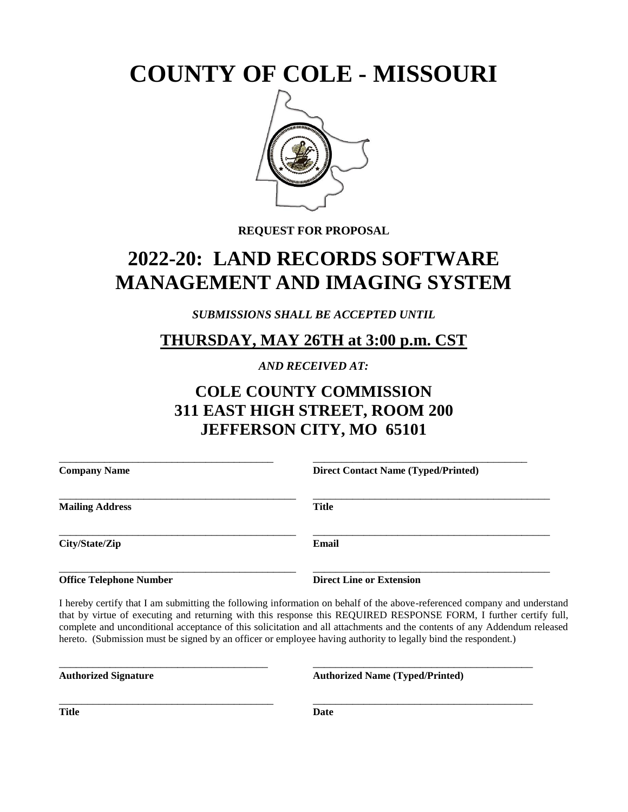**COUNTY OF COLE - MISSOURI**



**REQUEST FOR PROPOSAL**

# **2022-20: LAND RECORDS SOFTWARE MANAGEMENT AND IMAGING SYSTEM**

*SUBMISSIONS SHALL BE ACCEPTED UNTIL* 

### **THURSDAY, MAY 26TH at 3:00 p.m. CST**

*AND RECEIVED AT:*

# **COLE COUNTY COMMISSION 311 EAST HIGH STREET, ROOM 200 JEFFERSON CITY, MO 65101**

| <b>Company Name</b>    | <b>Direct Contact Name (Typed/Printed)</b> |
|------------------------|--------------------------------------------|
| <b>Mailing Address</b> | <b>Title</b>                               |
| City/State/Zip         | Email                                      |

**Office Telephone Number Direct Line or Extension** 

I hereby certify that I am submitting the following information on behalf of the above-referenced company and understand that by virtue of executing and returning with this response this REQUIRED RESPONSE FORM, I further certify full, complete and unconditional acceptance of this solicitation and all attachments and the contents of any Addendum released hereto. (Submission must be signed by an officer or employee having authority to legally bind the respondent.)

| <b>Authorized Signature</b> |  |
|-----------------------------|--|
|-----------------------------|--|

\_\_\_\_\_\_\_\_\_\_\_\_\_\_\_\_\_\_\_\_\_\_\_\_\_\_\_\_\_\_\_\_\_\_\_\_\_ \_\_\_\_\_\_\_\_\_\_\_\_\_\_\_\_\_\_\_\_\_\_\_\_\_\_\_\_\_\_\_\_\_\_\_\_\_\_\_ **Authorized Name (Typed/Printed)** 

**Title Date** 

\_\_\_\_\_\_\_\_\_\_\_\_\_\_\_\_\_\_\_\_\_\_\_\_\_\_\_\_\_\_\_\_\_\_\_\_\_\_ \_\_\_\_\_\_\_\_\_\_\_\_\_\_\_\_\_\_\_\_\_\_\_\_\_\_\_\_\_\_\_\_\_\_\_\_\_\_\_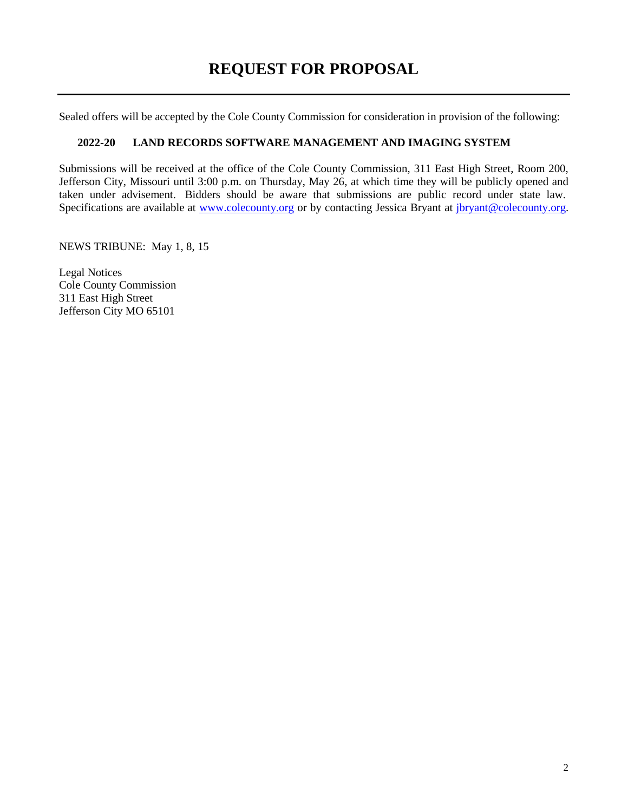# **REQUEST FOR PROPOSAL**

Sealed offers will be accepted by the Cole County Commission for consideration in provision of the following:

#### **2022-20 LAND RECORDS SOFTWARE MANAGEMENT AND IMAGING SYSTEM**

Submissions will be received at the office of the Cole County Commission, 311 East High Street, Room 200, Jefferson City, Missouri until 3:00 p.m. on Thursday, May 26, at which time they will be publicly opened and taken under advisement. Bidders should be aware that submissions are public record under state law. Specifications are available at [www.colecounty.org](http://www.colecounty.org/) or by contacting Jessica Bryant at [jbryant@colecounty.org.](mailto:jbryant@colecounty.org)

NEWS TRIBUNE: May 1, 8, 15

Legal Notices Cole County Commission 311 East High Street Jefferson City MO 65101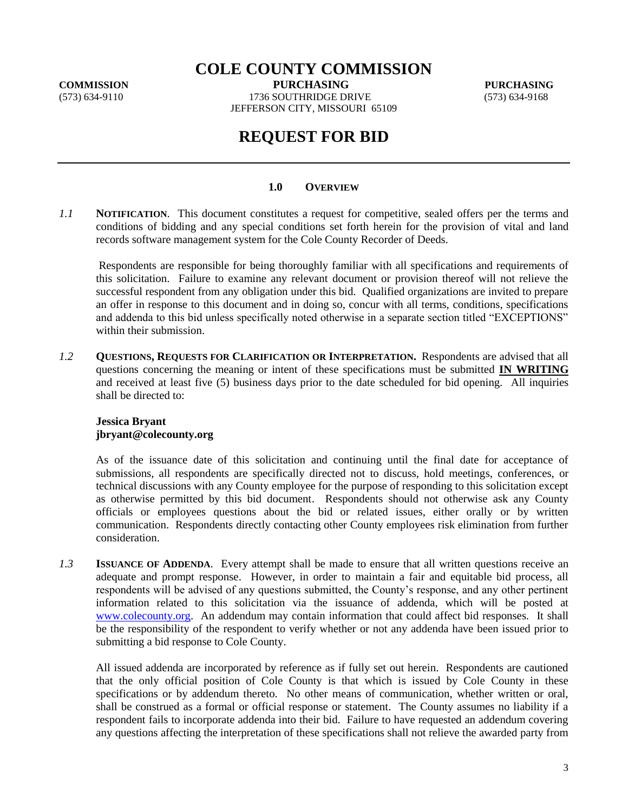**COLE COUNTY COMMISSION**

**COMMISSION PURCHASING PURCHASING**

(573) 634-9110 1736 SOUTHRIDGE DRIVE (573) 634-9168 JEFFERSON CITY, MISSOURI 65109

### **REQUEST FOR BID**

#### **1.0 OVERVIEW**

*1.1* **NOTIFICATION**. This document constitutes a request for competitive, sealed offers per the terms and conditions of bidding and any special conditions set forth herein for the provision of vital and land records software management system for the Cole County Recorder of Deeds.

Respondents are responsible for being thoroughly familiar with all specifications and requirements of this solicitation. Failure to examine any relevant document or provision thereof will not relieve the successful respondent from any obligation under this bid. Qualified organizations are invited to prepare an offer in response to this document and in doing so, concur with all terms, conditions, specifications and addenda to this bid unless specifically noted otherwise in a separate section titled "EXCEPTIONS" within their submission.

*1.2* **QUESTIONS, REQUESTS FOR CLARIFICATION OR INTERPRETATION.** Respondents are advised that all questions concerning the meaning or intent of these specifications must be submitted **IN WRITING**  and received at least five (5) business days prior to the date scheduled for bid opening. All inquiries shall be directed to:

#### **Jessica Bryant jbryant@colecounty.org**

As of the issuance date of this solicitation and continuing until the final date for acceptance of submissions, all respondents are specifically directed not to discuss, hold meetings, conferences, or technical discussions with any County employee for the purpose of responding to this solicitation except as otherwise permitted by this bid document. Respondents should not otherwise ask any County officials or employees questions about the bid or related issues, either orally or by written communication. Respondents directly contacting other County employees risk elimination from further consideration.

*1.3* **ISSUANCE OF ADDENDA**. Every attempt shall be made to ensure that all written questions receive an adequate and prompt response. However, in order to maintain a fair and equitable bid process, all respondents will be advised of any questions submitted, the County's response, and any other pertinent information related to this solicitation via the issuance of addenda, which will be posted at [www.colecounty.org.](http://www.colecounty.org/) An addendum may contain information that could affect bid responses. It shall be the responsibility of the respondent to verify whether or not any addenda have been issued prior to submitting a bid response to Cole County.

All issued addenda are incorporated by reference as if fully set out herein. Respondents are cautioned that the only official position of Cole County is that which is issued by Cole County in these specifications or by addendum thereto. No other means of communication, whether written or oral, shall be construed as a formal or official response or statement. The County assumes no liability if a respondent fails to incorporate addenda into their bid. Failure to have requested an addendum covering any questions affecting the interpretation of these specifications shall not relieve the awarded party from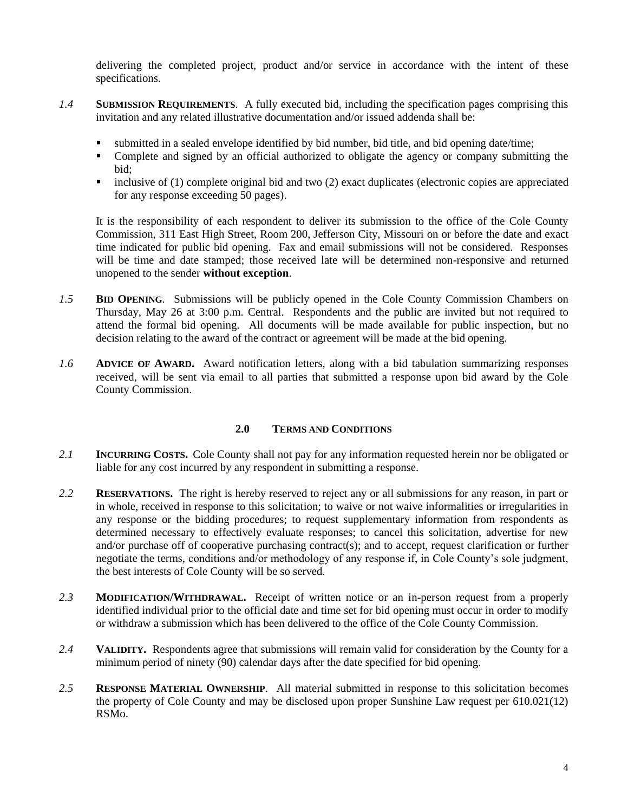delivering the completed project, product and/or service in accordance with the intent of these specifications.

- *1.4* **SUBMISSION REQUIREMENTS**. A fully executed bid, including the specification pages comprising this invitation and any related illustrative documentation and/or issued addenda shall be:
	- submitted in a sealed envelope identified by bid number, bid title, and bid opening date/time;<br>■ Complete and signed by an official authorized to obligate the agency or company submitti
	- Complete and signed by an official authorized to obligate the agency or company submitting the bid;
	- $\blacksquare$  inclusive of (1) complete original bid and two (2) exact duplicates (electronic copies are appreciated for any response exceeding 50 pages).

It is the responsibility of each respondent to deliver its submission to the office of the Cole County Commission, 311 East High Street, Room 200, Jefferson City, Missouri on or before the date and exact time indicated for public bid opening. Fax and email submissions will not be considered. Responses will be time and date stamped; those received late will be determined non-responsive and returned unopened to the sender **without exception**.

- *1.5* **BID OPENING***.* Submissions will be publicly opened in the Cole County Commission Chambers on Thursday, May 26 at 3:00 p.m. Central. Respondents and the public are invited but not required to attend the formal bid opening. All documents will be made available for public inspection, but no decision relating to the award of the contract or agreement will be made at the bid opening.
- *1.6* **ADVICE OF AWARD.** Award notification letters, along with a bid tabulation summarizing responses received, will be sent via email to all parties that submitted a response upon bid award by the Cole County Commission.

#### **2.0 TERMS AND CONDITIONS**

- *2.1* **INCURRING COSTS.** Cole County shall not pay for any information requested herein nor be obligated or liable for any cost incurred by any respondent in submitting a response.
- *2.2* **RESERVATIONS.** The right is hereby reserved to reject any or all submissions for any reason, in part or in whole, received in response to this solicitation; to waive or not waive informalities or irregularities in any response or the bidding procedures; to request supplementary information from respondents as determined necessary to effectively evaluate responses; to cancel this solicitation, advertise for new and/or purchase off of cooperative purchasing contract(s); and to accept, request clarification or further negotiate the terms, conditions and/or methodology of any response if, in Cole County's sole judgment, the best interests of Cole County will be so served.
- *2.3* **MODIFICATION/WITHDRAWAL.** Receipt of written notice or an in-person request from a properly identified individual prior to the official date and time set for bid opening must occur in order to modify or withdraw a submission which has been delivered to the office of the Cole County Commission.
- *2.4* **VALIDITY.** Respondents agree that submissions will remain valid for consideration by the County for a minimum period of ninety (90) calendar days after the date specified for bid opening.
- *2.5* **RESPONSE MATERIAL OWNERSHIP**. All material submitted in response to this solicitation becomes the property of Cole County and may be disclosed upon proper Sunshine Law request per 610.021(12) RSMo.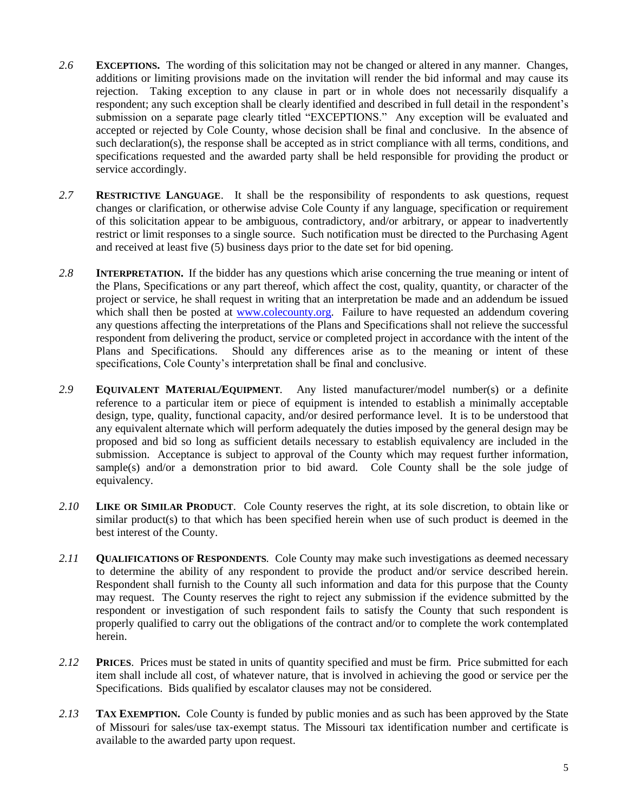- *2.6* **EXCEPTIONS.** The wording of this solicitation may not be changed or altered in any manner. Changes, additions or limiting provisions made on the invitation will render the bid informal and may cause its rejection. Taking exception to any clause in part or in whole does not necessarily disqualify a respondent; any such exception shall be clearly identified and described in full detail in the respondent's submission on a separate page clearly titled "EXCEPTIONS." Any exception will be evaluated and accepted or rejected by Cole County, whose decision shall be final and conclusive. In the absence of such declaration(s), the response shall be accepted as in strict compliance with all terms, conditions, and specifications requested and the awarded party shall be held responsible for providing the product or service accordingly.
- *2.7* **RESTRICTIVE LANGUAGE**. It shall be the responsibility of respondents to ask questions, request changes or clarification, or otherwise advise Cole County if any language, specification or requirement of this solicitation appear to be ambiguous, contradictory, and/or arbitrary, or appear to inadvertently restrict or limit responses to a single source. Such notification must be directed to the Purchasing Agent and received at least five (5) business days prior to the date set for bid opening.
- *2.8* **INTERPRETATION.** If the bidder has any questions which arise concerning the true meaning or intent of the Plans, Specifications or any part thereof, which affect the cost, quality, quantity, or character of the project or service, he shall request in writing that an interpretation be made and an addendum be issued which shall then be posted at [www.colecounty.org.](http://www.colecounty.org/) Failure to have requested an addendum covering any questions affecting the interpretations of the Plans and Specifications shall not relieve the successful respondent from delivering the product, service or completed project in accordance with the intent of the Plans and Specifications. Should any differences arise as to the meaning or intent of these specifications, Cole County's interpretation shall be final and conclusive.
- *2.9* **EQUIVALENT MATERIAL/EQUIPMENT***.* Any listed manufacturer/model number(s) or a definite reference to a particular item or piece of equipment is intended to establish a minimally acceptable design, type, quality, functional capacity, and/or desired performance level. It is to be understood that any equivalent alternate which will perform adequately the duties imposed by the general design may be proposed and bid so long as sufficient details necessary to establish equivalency are included in the submission. Acceptance is subject to approval of the County which may request further information, sample(s) and/or a demonstration prior to bid award. Cole County shall be the sole judge of equivalency.
- *2.10* **LIKE OR SIMILAR PRODUCT**. Cole County reserves the right, at its sole discretion, to obtain like or similar product(s) to that which has been specified herein when use of such product is deemed in the best interest of the County.
- *2.11* **QUALIFICATIONS OF RESPONDENTS***.* Cole County may make such investigations as deemed necessary to determine the ability of any respondent to provide the product and/or service described herein. Respondent shall furnish to the County all such information and data for this purpose that the County may request. The County reserves the right to reject any submission if the evidence submitted by the respondent or investigation of such respondent fails to satisfy the County that such respondent is properly qualified to carry out the obligations of the contract and/or to complete the work contemplated herein.
- *2.12* **PRICES**. Prices must be stated in units of quantity specified and must be firm. Price submitted for each item shall include all cost, of whatever nature, that is involved in achieving the good or service per the Specifications. Bids qualified by escalator clauses may not be considered.
- *2.13* **TAX EXEMPTION.** Cole County is funded by public monies and as such has been approved by the State of Missouri for sales/use tax‐exempt status. The Missouri tax identification number and certificate is available to the awarded party upon request.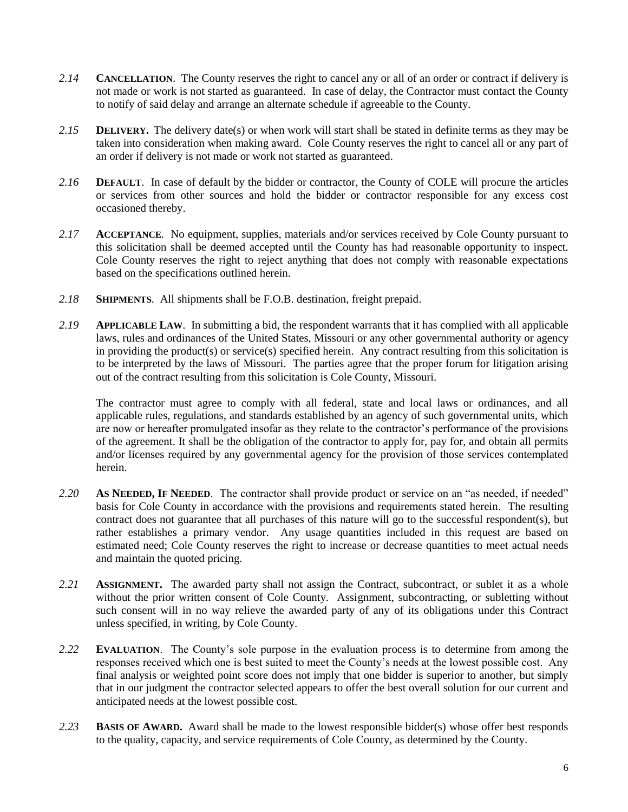- *2.14* **CANCELLATION**. The County reserves the right to cancel any or all of an order or contract if delivery is not made or work is not started as guaranteed. In case of delay, the Contractor must contact the County to notify of said delay and arrange an alternate schedule if agreeable to the County.
- *2.15* **DELIVERY.** The delivery date(s) or when work will start shall be stated in definite terms as they may be taken into consideration when making award. Cole County reserves the right to cancel all or any part of an order if delivery is not made or work not started as guaranteed.
- *2.16* **DEFAULT**. In case of default by the bidder or contractor, the County of COLE will procure the articles or services from other sources and hold the bidder or contractor responsible for any excess cost occasioned thereby.
- *2.17* **ACCEPTANCE***.* No equipment, supplies, materials and/or services received by Cole County pursuant to this solicitation shall be deemed accepted until the County has had reasonable opportunity to inspect. Cole County reserves the right to reject anything that does not comply with reasonable expectations based on the specifications outlined herein.
- *2.18* **SHIPMENTS***.* All shipments shall be F.O.B. destination, freight prepaid.
- *2.19* **APPLICABLE LAW**. In submitting a bid, the respondent warrants that it has complied with all applicable laws, rules and ordinances of the United States, Missouri or any other governmental authority or agency in providing the product(s) or service(s) specified herein. Any contract resulting from this solicitation is to be interpreted by the laws of Missouri. The parties agree that the proper forum for litigation arising out of the contract resulting from this solicitation is Cole County, Missouri.

The contractor must agree to comply with all federal, state and local laws or ordinances, and all applicable rules, regulations, and standards established by an agency of such governmental units, which are now or hereafter promulgated insofar as they relate to the contractor's performance of the provisions of the agreement. It shall be the obligation of the contractor to apply for, pay for, and obtain all permits and/or licenses required by any governmental agency for the provision of those services contemplated herein.

- *2.20* **AS NEEDED, IF NEEDED**. The contractor shall provide product or service on an "as needed, if needed" basis for Cole County in accordance with the provisions and requirements stated herein. The resulting contract does not guarantee that all purchases of this nature will go to the successful respondent(s), but rather establishes a primary vendor. Any usage quantities included in this request are based on estimated need; Cole County reserves the right to increase or decrease quantities to meet actual needs and maintain the quoted pricing.
- *2.21* **ASSIGNMENT.** The awarded party shall not assign the Contract, subcontract, or sublet it as a whole without the prior written consent of Cole County. Assignment, subcontracting, or subletting without such consent will in no way relieve the awarded party of any of its obligations under this Contract unless specified, in writing, by Cole County.
- *2.22* **EVALUATION**. The County's sole purpose in the evaluation process is to determine from among the responses received which one is best suited to meet the County's needs at the lowest possible cost. Any final analysis or weighted point score does not imply that one bidder is superior to another, but simply that in our judgment the contractor selected appears to offer the best overall solution for our current and anticipated needs at the lowest possible cost.
- *2.23* **BASIS OF AWARD.** Award shall be made to the lowest responsible bidder(s) whose offer best responds to the quality, capacity, and service requirements of Cole County, as determined by the County.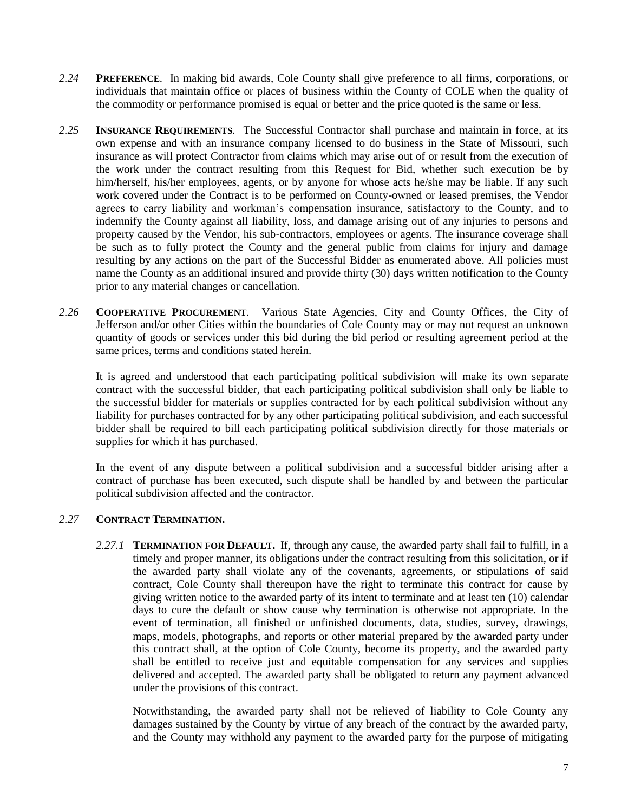- *2.24* **PREFERENCE***.* In making bid awards, Cole County shall give preference to all firms, corporations, or individuals that maintain office or places of business within the County of COLE when the quality of the commodity or performance promised is equal or better and the price quoted is the same or less.
- *2.25* **INSURANCE REQUIREMENTS***.* The Successful Contractor shall purchase and maintain in force, at its own expense and with an insurance company licensed to do business in the State of Missouri, such insurance as will protect Contractor from claims which may arise out of or result from the execution of the work under the contract resulting from this Request for Bid, whether such execution be by him/herself, his/her employees, agents, or by anyone for whose acts he/she may be liable. If any such work covered under the Contract is to be performed on County-owned or leased premises, the Vendor agrees to carry liability and workman's compensation insurance, satisfactory to the County, and to indemnify the County against all liability, loss, and damage arising out of any injuries to persons and property caused by the Vendor, his sub-contractors, employees or agents. The insurance coverage shall be such as to fully protect the County and the general public from claims for injury and damage resulting by any actions on the part of the Successful Bidder as enumerated above. All policies must name the County as an additional insured and provide thirty (30) days written notification to the County prior to any material changes or cancellation.
- *2.26* **COOPERATIVE PROCUREMENT***.* Various State Agencies, City and County Offices, the City of Jefferson and/or other Cities within the boundaries of Cole County may or may not request an unknown quantity of goods or services under this bid during the bid period or resulting agreement period at the same prices, terms and conditions stated herein.

It is agreed and understood that each participating political subdivision will make its own separate contract with the successful bidder, that each participating political subdivision shall only be liable to the successful bidder for materials or supplies contracted for by each political subdivision without any liability for purchases contracted for by any other participating political subdivision, and each successful bidder shall be required to bill each participating political subdivision directly for those materials or supplies for which it has purchased.

In the event of any dispute between a political subdivision and a successful bidder arising after a contract of purchase has been executed, such dispute shall be handled by and between the particular political subdivision affected and the contractor.

#### *2.27* **CONTRACT TERMINATION.**

*2.27.1* **TERMINATION FOR DEFAULT.** If, through any cause, the awarded party shall fail to fulfill, in a timely and proper manner, its obligations under the contract resulting from this solicitation, or if the awarded party shall violate any of the covenants, agreements, or stipulations of said contract, Cole County shall thereupon have the right to terminate this contract for cause by giving written notice to the awarded party of its intent to terminate and at least ten (10) calendar days to cure the default or show cause why termination is otherwise not appropriate. In the event of termination, all finished or unfinished documents, data, studies, survey, drawings, maps, models, photographs, and reports or other material prepared by the awarded party under this contract shall, at the option of Cole County, become its property, and the awarded party shall be entitled to receive just and equitable compensation for any services and supplies delivered and accepted. The awarded party shall be obligated to return any payment advanced under the provisions of this contract.

Notwithstanding, the awarded party shall not be relieved of liability to Cole County any damages sustained by the County by virtue of any breach of the contract by the awarded party, and the County may withhold any payment to the awarded party for the purpose of mitigating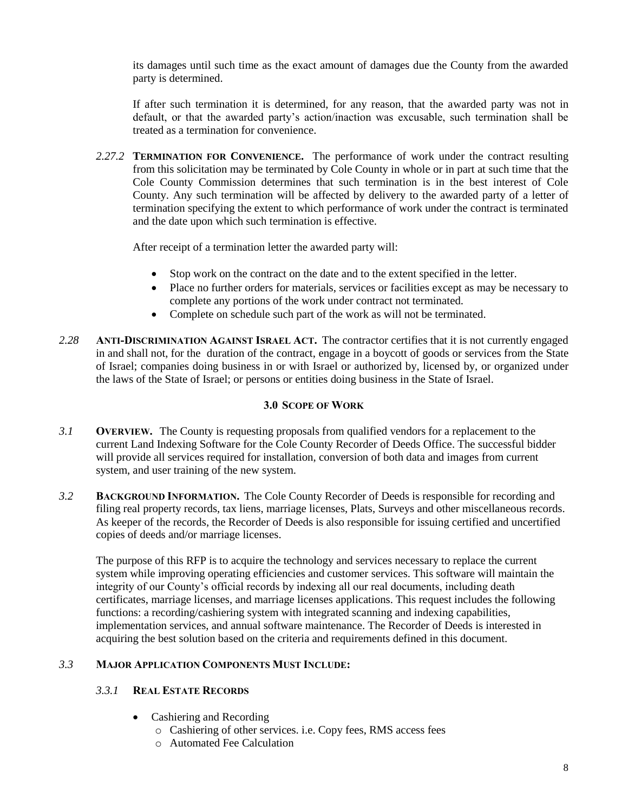its damages until such time as the exact amount of damages due the County from the awarded party is determined.

If after such termination it is determined, for any reason, that the awarded party was not in default, or that the awarded party's action/inaction was excusable, such termination shall be treated as a termination for convenience.

*2.27.2* **TERMINATION FOR CONVENIENCE.** The performance of work under the contract resulting from this solicitation may be terminated by Cole County in whole or in part at such time that the Cole County Commission determines that such termination is in the best interest of Cole County. Any such termination will be affected by delivery to the awarded party of a letter of termination specifying the extent to which performance of work under the contract is terminated and the date upon which such termination is effective.

After receipt of a termination letter the awarded party will:

- Stop work on the contract on the date and to the extent specified in the letter.
- Place no further orders for materials, services or facilities except as may be necessary to complete any portions of the work under contract not terminated.
- Complete on schedule such part of the work as will not be terminated.
- *2.28* **ANTI-DISCRIMINATION AGAINST ISRAEL ACT.** The contractor certifies that it is not currently engaged in and shall not, for the duration of the contract, engage in a boycott of goods or services from the State of Israel; companies doing business in or with Israel or authorized by, licensed by, or organized under the laws of the State of Israel; or persons or entities doing business in the State of Israel.

#### **3.0 SCOPE OF WORK**

- *3.1* **OVERVIEW.** The County is requesting proposals from qualified vendors for a replacement to the current Land Indexing Software for the Cole County Recorder of Deeds Office. The successful bidder will provide all services required for installation, conversion of both data and images from current system, and user training of the new system.
- *3.2* **BACKGROUND INFORMATION.** The Cole County Recorder of Deeds is responsible for recording and filing real property records, tax liens, marriage licenses, Plats, Surveys and other miscellaneous records. As keeper of the records, the Recorder of Deeds is also responsible for issuing certified and uncertified copies of deeds and/or marriage licenses.

The purpose of this RFP is to acquire the technology and services necessary to replace the current system while improving operating efficiencies and customer services. This software will maintain the integrity of our County's official records by indexing all our real documents, including death certificates, marriage licenses, and marriage licenses applications. This request includes the following functions: a recording/cashiering system with integrated scanning and indexing capabilities, implementation services, and annual software maintenance. The Recorder of Deeds is interested in acquiring the best solution based on the criteria and requirements defined in this document.

#### *3.3* **MAJOR APPLICATION COMPONENTS MUST INCLUDE:**

#### *3.3.1* **REAL ESTATE RECORDS**

- Cashiering and Recording
	- o Cashiering of other services. i.e. Copy fees, RMS access fees
	- o Automated Fee Calculation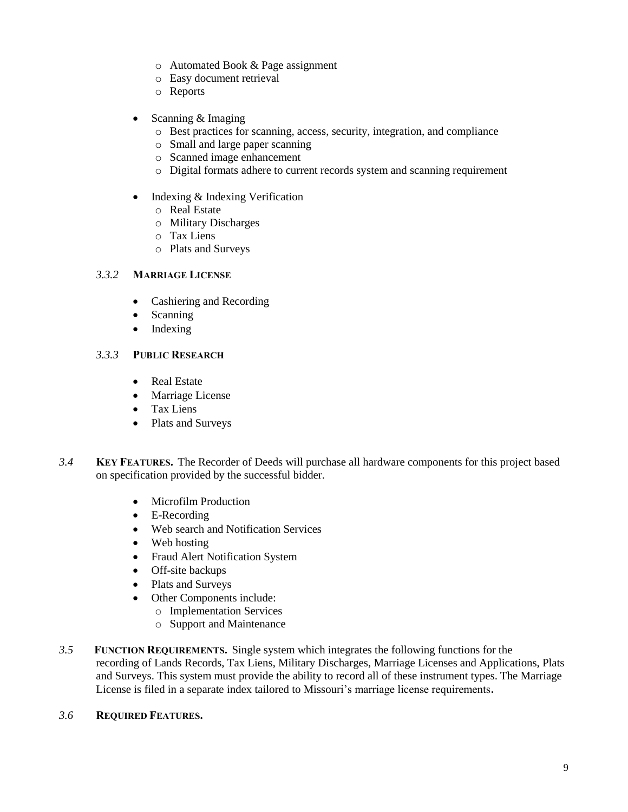- o Automated Book & Page assignment
- o Easy document retrieval
- o Reports
- Scanning & Imaging
	- o Best practices for scanning, access, security, integration, and compliance
	- o Small and large paper scanning
	- o Scanned image enhancement
	- o Digital formats adhere to current records system and scanning requirement
- Indexing & Indexing Verification
	- o Real Estate
	- o Military Discharges
	- o Tax Liens
	- o Plats and Surveys

#### *3.3.2* **MARRIAGE LICENSE**

- Cashiering and Recording
- Scanning
- Indexing

#### *3.3.3* **PUBLIC RESEARCH**

- Real Estate
- Marriage License
- Tax Liens
- Plats and Surveys
- *3.4* **KEY FEATURES.** The Recorder of Deeds will purchase all hardware components for this project based on specification provided by the successful bidder.
	- Microfilm Production
	- E-Recording
	- Web search and Notification Services
	- Web hosting
	- Fraud Alert Notification System
	- Off-site backups
	- Plats and Surveys
	- Other Components include:
		- o Implementation Services
		- o Support and Maintenance
- *3.5* **FUNCTION REQUIREMENTS.** Single system which integrates the following functions for the recording of Lands Records, Tax Liens, Military Discharges, Marriage Licenses and Applications, Plats and Surveys. This system must provide the ability to record all of these instrument types. The Marriage License is filed in a separate index tailored to Missouri's marriage license requirements.

#### *3.6* **REQUIRED FEATURES.**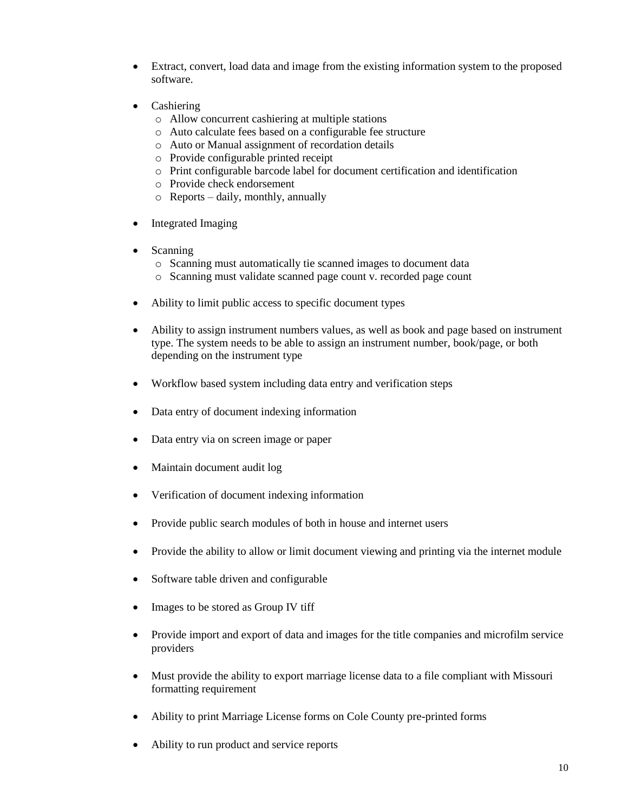- Extract, convert, load data and image from the existing information system to the proposed software.
- Cashiering
	- o Allow concurrent cashiering at multiple stations
	- o Auto calculate fees based on a configurable fee structure
	- o Auto or Manual assignment of recordation details
	- o Provide configurable printed receipt
	- o Print configurable barcode label for document certification and identification
	- o Provide check endorsement
	- o Reports daily, monthly, annually
- Integrated Imaging
- Scanning
	- o Scanning must automatically tie scanned images to document data
	- o Scanning must validate scanned page count v. recorded page count
- Ability to limit public access to specific document types
- Ability to assign instrument numbers values, as well as book and page based on instrument type. The system needs to be able to assign an instrument number, book/page, or both depending on the instrument type
- Workflow based system including data entry and verification steps
- Data entry of document indexing information
- Data entry via on screen image or paper
- Maintain document audit log
- Verification of document indexing information
- Provide public search modules of both in house and internet users
- Provide the ability to allow or limit document viewing and printing via the internet module
- Software table driven and configurable
- Images to be stored as Group IV tiff
- Provide import and export of data and images for the title companies and microfilm service providers
- Must provide the ability to export marriage license data to a file compliant with Missouri formatting requirement
- Ability to print Marriage License forms on Cole County pre-printed forms
- Ability to run product and service reports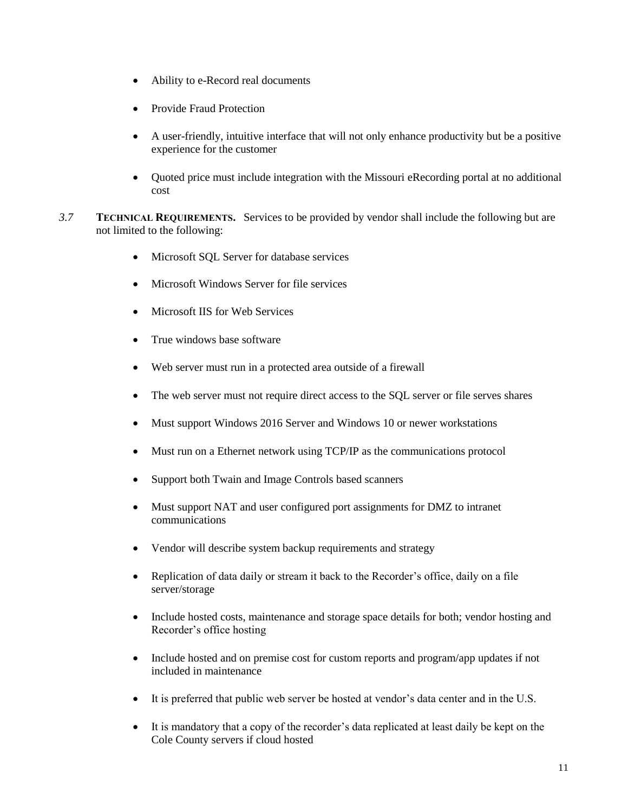- Ability to e-Record real documents
- Provide Fraud Protection
- A user-friendly, intuitive interface that will not only enhance productivity but be a positive experience for the customer
- Quoted price must include integration with the Missouri eRecording portal at no additional cost
- *3.7* **TECHNICAL REQUIREMENTS.** Services to be provided by vendor shall include the following but are not limited to the following:
	- Microsoft SQL Server for database services
	- Microsoft Windows Server for file services
	- Microsoft IIS for Web Services
	- True windows base software
	- Web server must run in a protected area outside of a firewall
	- The web server must not require direct access to the SQL server or file serves shares
	- Must support Windows 2016 Server and Windows 10 or newer workstations
	- Must run on a Ethernet network using TCP/IP as the communications protocol
	- Support both Twain and Image Controls based scanners
	- Must support NAT and user configured port assignments for DMZ to intranet communications
	- Vendor will describe system backup requirements and strategy
	- Replication of data daily or stream it back to the Recorder's office, daily on a file server/storage
	- Include hosted costs, maintenance and storage space details for both; vendor hosting and Recorder's office hosting
	- Include hosted and on premise cost for custom reports and program/app updates if not included in maintenance
	- It is preferred that public web server be hosted at vendor's data center and in the U.S.
	- It is mandatory that a copy of the recorder's data replicated at least daily be kept on the Cole County servers if cloud hosted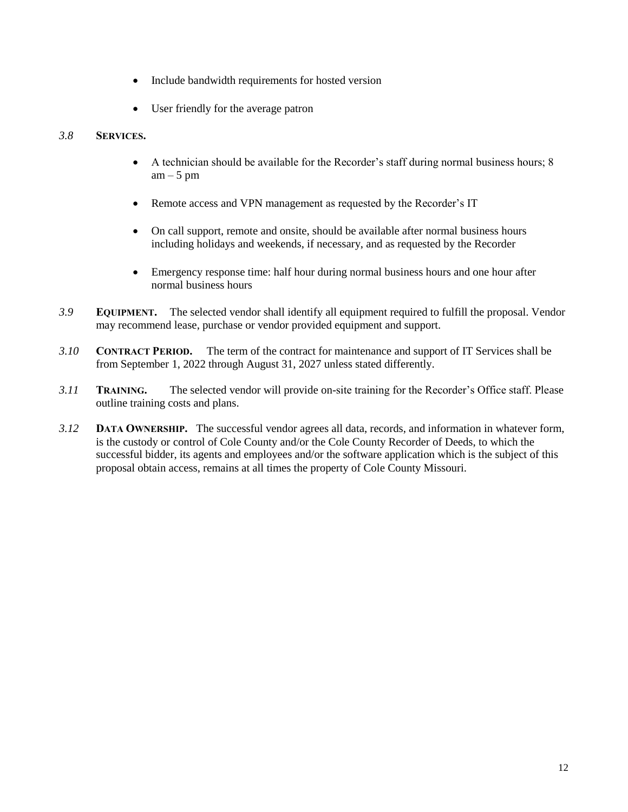- Include bandwidth requirements for hosted version
- User friendly for the average patron

#### *3.8* **SERVICES.**

- A technician should be available for the Recorder's staff during normal business hours; 8  $am - 5 pm$
- Remote access and VPN management as requested by the Recorder's IT
- On call support, remote and onsite, should be available after normal business hours including holidays and weekends, if necessary, and as requested by the Recorder
- Emergency response time: half hour during normal business hours and one hour after normal business hours
- *3.9* **EQUIPMENT.** The selected vendor shall identify all equipment required to fulfill the proposal. Vendor may recommend lease, purchase or vendor provided equipment and support.
- *3.10* **CONTRACT PERIOD.** The term of the contract for maintenance and support of IT Services shall be from September 1, 2022 through August 31, 2027 unless stated differently.
- *3.11* **TRAINING.** The selected vendor will provide on-site training for the Recorder's Office staff. Please outline training costs and plans.
- *3.12* **DATA OWNERSHIP.** The successful vendor agrees all data, records, and information in whatever form, is the custody or control of Cole County and/or the Cole County Recorder of Deeds, to which the successful bidder, its agents and employees and/or the software application which is the subject of this proposal obtain access, remains at all times the property of Cole County Missouri.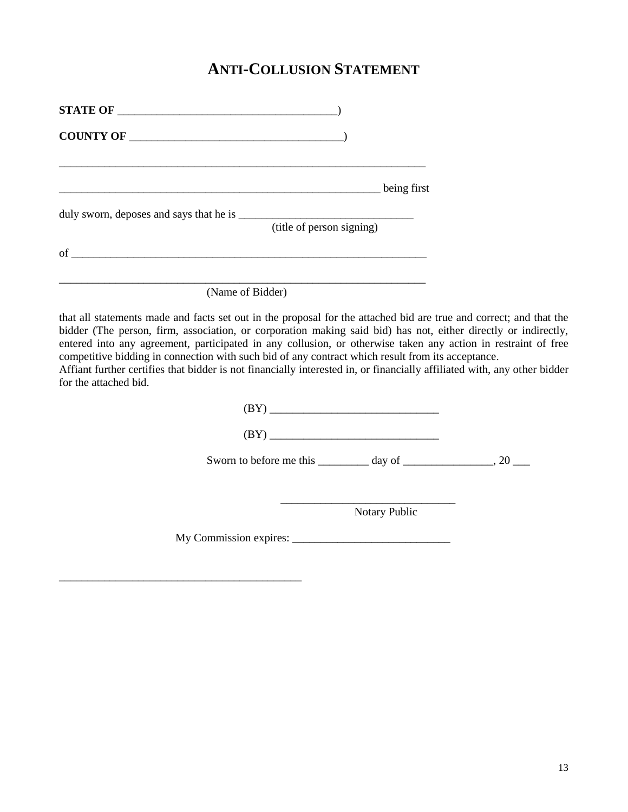### **ANTI-COLLUSION STATEMENT**

| STATE OF    |                           |
|-------------|---------------------------|
| COUNTY OF   |                           |
|             |                           |
|             | being first               |
|             |                           |
|             | (title of person signing) |
| $\sigma$ of |                           |
|             |                           |

(Name of Bidder)

\_\_\_\_\_\_\_\_\_\_\_\_\_\_\_\_\_\_\_\_\_\_\_\_\_\_\_\_\_\_\_\_\_\_\_\_\_\_\_\_\_\_\_

that all statements made and facts set out in the proposal for the attached bid are true and correct; and that the bidder (The person, firm, association, or corporation making said bid) has not, either directly or indirectly, entered into any agreement, participated in any collusion, or otherwise taken any action in restraint of free competitive bidding in connection with such bid of any contract which result from its acceptance.

Affiant further certifies that bidder is not financially interested in, or financially affiliated with, any other bidder for the attached bid.

| (BY)                                                                       |  |
|----------------------------------------------------------------------------|--|
| Sworn to before me this $\_\_\_\_$ day of $\_\_\_\_\_\_$ , 20 $\_\_\_\_\_$ |  |
|                                                                            |  |
| <b>Notary Public</b>                                                       |  |
|                                                                            |  |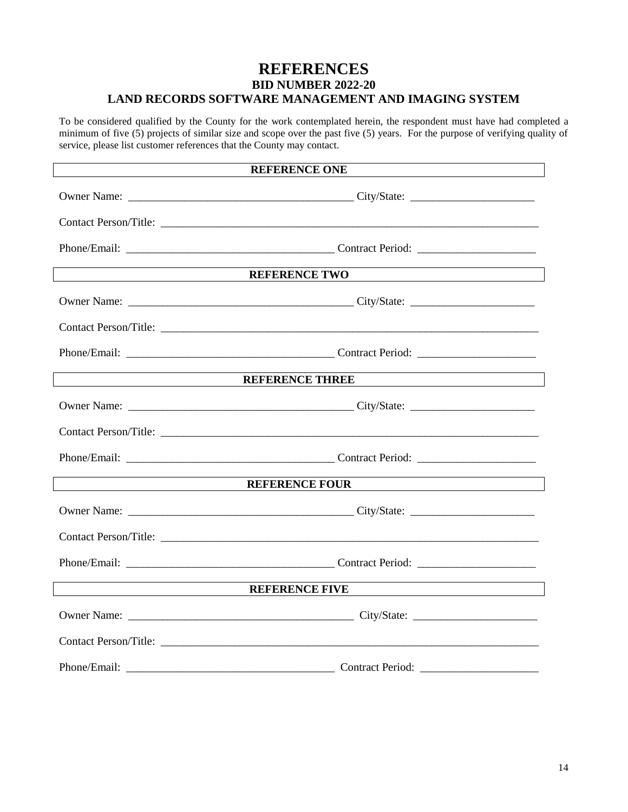#### **REFERENCES BID NUMBER 2022-20 LAND RECORDS SOFTWARE MANAGEMENT AND IMAGING SYSTEM**

To be considered qualified by the County for the work contemplated herein, the respondent must have had completed a minimum of five (5) projects of similar size and scope over the past five (5) years. For the purpose of verifying quality of service, please list customer references that the County may contact.

| <b>REFERENCE ONE</b>                                                                                                  |                                                                                                                                                                                                                               |  |  |  |
|-----------------------------------------------------------------------------------------------------------------------|-------------------------------------------------------------------------------------------------------------------------------------------------------------------------------------------------------------------------------|--|--|--|
|                                                                                                                       |                                                                                                                                                                                                                               |  |  |  |
|                                                                                                                       |                                                                                                                                                                                                                               |  |  |  |
|                                                                                                                       |                                                                                                                                                                                                                               |  |  |  |
| REFERENCE TWO                                                                                                         |                                                                                                                                                                                                                               |  |  |  |
|                                                                                                                       |                                                                                                                                                                                                                               |  |  |  |
|                                                                                                                       |                                                                                                                                                                                                                               |  |  |  |
|                                                                                                                       |                                                                                                                                                                                                                               |  |  |  |
|                                                                                                                       | REFERENCE THREE                                                                                                                                                                                                               |  |  |  |
|                                                                                                                       |                                                                                                                                                                                                                               |  |  |  |
|                                                                                                                       |                                                                                                                                                                                                                               |  |  |  |
|                                                                                                                       |                                                                                                                                                                                                                               |  |  |  |
|                                                                                                                       |                                                                                                                                                                                                                               |  |  |  |
|                                                                                                                       |                                                                                                                                                                                                                               |  |  |  |
|                                                                                                                       |                                                                                                                                                                                                                               |  |  |  |
|                                                                                                                       |                                                                                                                                                                                                                               |  |  |  |
| <u> 1980 - Johann Johann Stoff, deutscher Stoffen und der Stoffen und der Stoffen und der Stoffen und der Stoffen</u> | REFERENCE FIVE THE TEST PRODUCED THE TEST OF THE TEST OF THE TEST OF THE TEST OF THE TEST OF THE TEST OF THE TEST OF THE TEST OF THE TEST OF THE TEST OF THE TEST OF THE TEST OF THE TEST OF THE TEST OF THE TEST OF THE TEST |  |  |  |
|                                                                                                                       |                                                                                                                                                                                                                               |  |  |  |
|                                                                                                                       |                                                                                                                                                                                                                               |  |  |  |
|                                                                                                                       |                                                                                                                                                                                                                               |  |  |  |